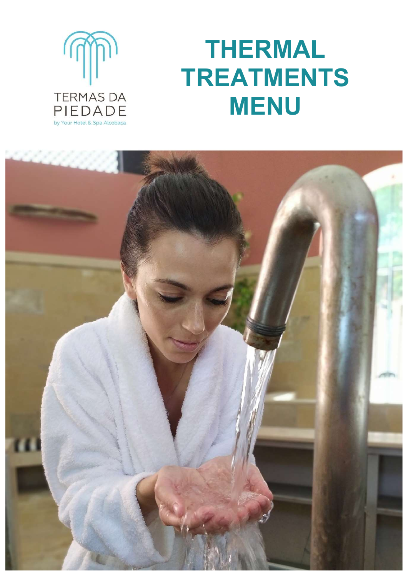

# (information of THERMAL TREATMENTS MENU

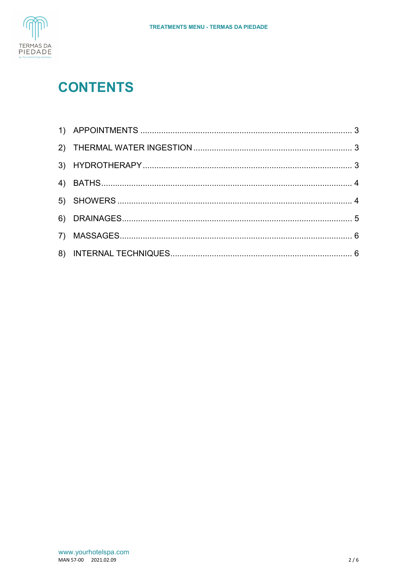

## **CONTENTS**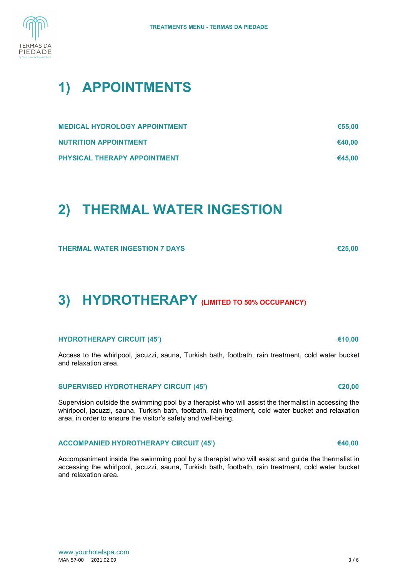

## 1) APPOINTMENTS

| <b>MEDICAL HYDROLOGY APPOINTMENT</b> | €55.00 |
|--------------------------------------|--------|
| <b>NUTRITION APPOINTMENT</b>         | €40.00 |
| <b>PHYSICAL THERAPY APPOINTMENT</b>  | €45.00 |

## 2) THERMAL WATER INGESTION

THERMAL WATER INGESTION 7 DAYS **€25,00** €25,00

**3) HYDROTHERAPY** (LIMITED TO 50% OCCUPANCY)

## HYDROTHERAPY CIRCUIT (45') €10,00

Access to the whirlpool, jacuzzi, sauna, Turkish bath, footbath, rain treatment, cold water bucket and relaxation area.

## SUPERVISED HYDROTHERAPY CIRCUIT (45') €20,00

Supervision outside the swimming pool by a therapist who will assist the thermalist in accessing the whirlpool, jacuzzi, sauna, Turkish bath, footbath, rain treatment, cold water bucket and relaxation area, in order to ensure the visitor's safety and well-being.

## ACCOMPANIED HYDROTHERAPY CIRCUIT (45') €40,00

Accompaniment inside the swimming pool by a therapist who will assist and guide the thermalist in accessing the whirlpool, jacuzzi, sauna, Turkish bath, footbath, rain treatment, cold water bucket and relaxation area.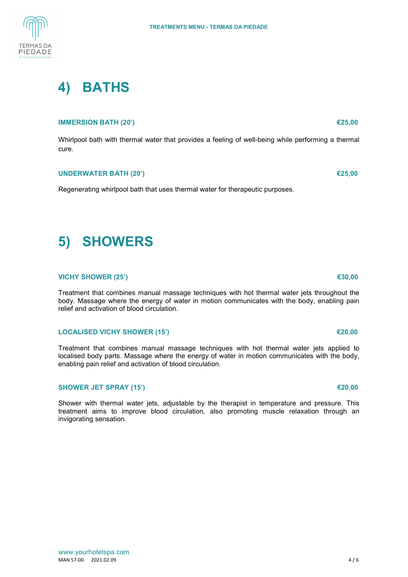4) BATHS

## IMMERSION BATH (20') €25,00

Whirlpool bath with thermal water that provides a feeling of well-being while performing a thermal cure.

## UNDERWATER BATH  $(20')$   $\epsilon$ 25,00

Regenerating whirlpool bath that uses thermal water for therapeutic purposes.

## 5) SHOWERS

## VICHY SHOWER (25')  $\epsilon$ 30,00

Treatment that combines manual massage techniques with hot thermal water jets throughout the body. Massage where the energy of water in motion communicates with the body, enabling pain relief and activation of blood circulation.

### LOCALISED VICHY SHOWER (15') €20,00

Treatment that combines manual massage techniques with hot thermal water jets applied to localised body parts. Massage where the energy of water in motion communicates with the body, enabling pain relief and activation of blood circulation.

## SHOWER JET SPRAY (15') €20,00

Shower with thermal water jets, adjustable by the therapist in temperature and pressure. This treatment aims to improve blood circulation, also promoting muscle relaxation through an invigorating sensation.



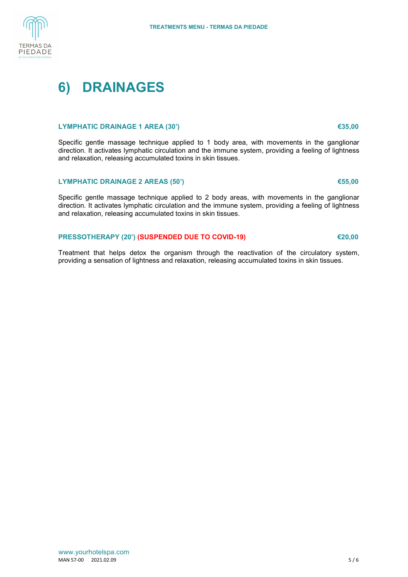

## 6) DRAINAGES

### LYMPHATIC DRAINAGE 1 AREA (30') €35,00

Specific gentle massage technique applied to 1 body area, with movements in the ganglionar direction. It activates lymphatic circulation and the immune system, providing a feeling of lightness and relaxation, releasing accumulated toxins in skin tissues.

### LYMPHATIC DRAINAGE 2 AREAS (50') €55,00

Specific gentle massage technique applied to 2 body areas, with movements in the ganglionar direction. It activates lymphatic circulation and the immune system, providing a feeling of lightness and relaxation, releasing accumulated toxins in skin tissues.

### PRESSOTHERAPY (20') (SUSPENDED DUE TO COVID-19) €20,00

Treatment that helps detox the organism through the reactivation of the circulatory system, providing a sensation of lightness and relaxation, releasing accumulated toxins in skin tissues.